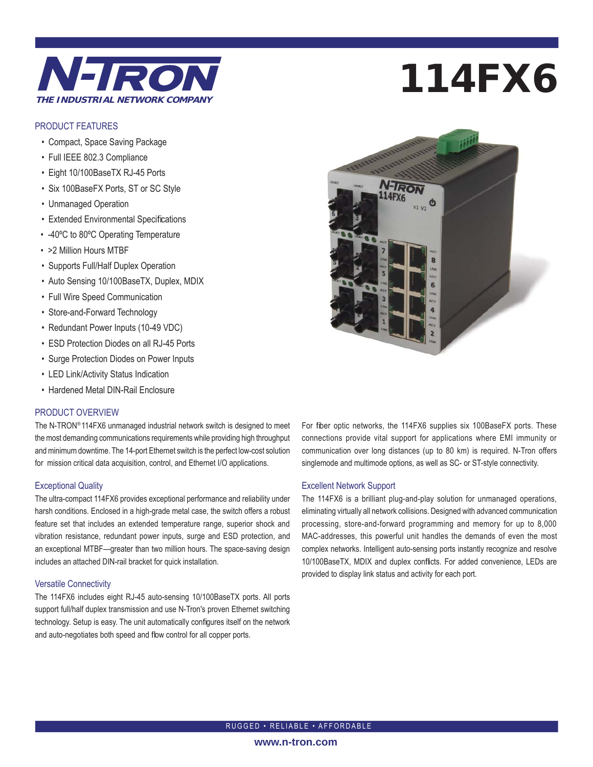

## PRODUCT FEATURES

- Compact, Space Saving Package
- Full IEEE 802.3 Compliance
- Eight 10/100BaseTX RJ-45 Ports
- Six 100BaseFX Ports, ST or SC Style
- Unmanaged Operation
- Extended Environmental Specifications
- -40ºC to 80ºC Operating Temperature
- >2 Million Hours MTBF
- Supports Full/Half Duplex Operation
- Auto Sensing 10/100BaseTX, Duplex, MDIX
- Full Wire Speed Communication
- Store-and-Forward Technology
- Redundant Power Inputs (10-49 VDC)
- ESD Protection Diodes on all RJ-45 Ports
- Surge Protection Diodes on Power Inputs
- LED Link/Activity Status Indication
- Hardened Metal DIN-Rail Enclosure

### PRODUCT OVERVIEW

The N-TRON® 114FX6 unmanaged industrial network switch is designed to meet the most demanding communications requirements while providing high throughput and minimum downtime. The 14-port Ethernet switch is the perfect low-cost solution for mission critical data acquisition, control, and Ethernet I/O applications.

#### Exceptional Quality

The ultra-compact 114FX6 provides exceptional performance and reliability under harsh conditions. Enclosed in a high-grade metal case, the switch offers a robust feature set that includes an extended temperature range, superior shock and vibration resistance, redundant power inputs, surge and ESD protection, and an exceptional MTBF—greater than two million hours. The space-saving design includes an attached DIN-rail bracket for quick installation.

#### Versatile Connectivity

The 114FX6 includes eight RJ-45 auto-sensing 10/100BaseTX ports. All ports support full/half duplex transmission and use N-Tron's proven Ethernet switching technology. Setup is easy. The unit automatically configures itself on the network and auto-negotiates both speed and flow control for all copper ports.

# 114FX6



For fiber optic networks, the 114FX6 supplies six 100BaseFX ports. These connections provide vital support for applications where EMI immunity or communication over long distances (up to 80 km) is required. N-Tron offers singlemode and multimode options, as well as SC- or ST-style connectivity.

#### Excellent Network Support

The 114FX6 is a brilliant plug-and-play solution for unmanaged operations, eliminating virtually all network collisions. Designed with advanced communication processing, store-and-forward programming and memory for up to 8,000 MAC-addresses, this powerful unit handles the demands of even the most complex networks. Intelligent auto-sensing ports instantly recognize and resolve 10/100BaseTX, MDIX and duplex conflicts. For added convenience, LEDs are provided to display link status and activity for each port.

RUGGED • RELIABLE • AFFORDABLE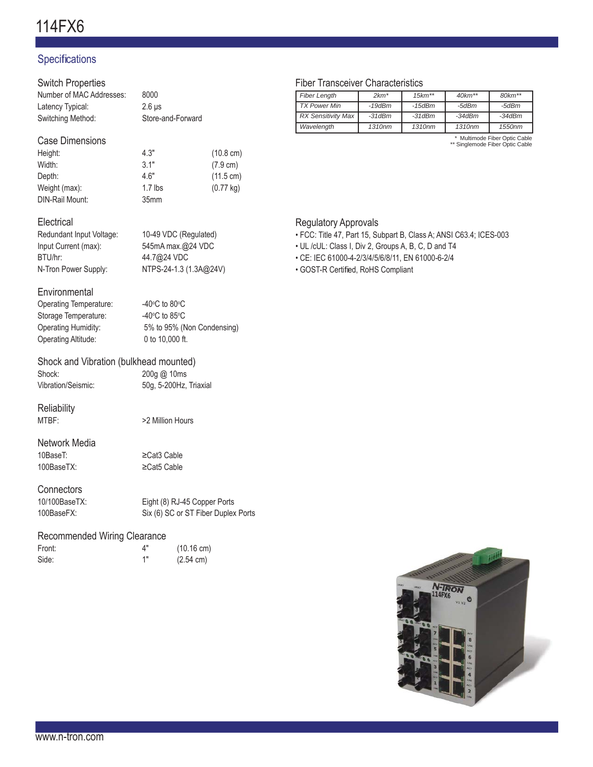# Specifications

| <b>Switch Properties</b>                              |                                     |                     |  |
|-------------------------------------------------------|-------------------------------------|---------------------|--|
| Number of MAC Addresses:                              | 8000                                |                     |  |
| Latency Typical:                                      | $2.6 \,\mu s$                       |                     |  |
| Switching Method:                                     | Store-and-Forward                   |                     |  |
|                                                       |                                     |                     |  |
| <b>Case Dimensions</b>                                |                                     |                     |  |
| Height:                                               | 4.3"                                | $(10.8 \text{ cm})$ |  |
| Width:                                                | 3.1"                                | (7.9 cm)            |  |
| Depth:                                                | 4.6"                                | $(11.5 \text{ cm})$ |  |
| Weight (max):                                         | $1.7$ lbs                           | $(0.77 \text{ kg})$ |  |
| DIN-Rail Mount:                                       | 35mm                                |                     |  |
|                                                       |                                     |                     |  |
| Electrical                                            |                                     |                     |  |
| Redundant Input Voltage:                              | 10-49 VDC (Regulated)               |                     |  |
| Input Current (max):                                  | 545mA max.@24 VDC                   |                     |  |
| BTU/hr:                                               | 44.7@24 VDC                         |                     |  |
| N-Tron Power Supply:                                  | NTPS-24-1.3 (1.3A@24V)              |                     |  |
|                                                       |                                     |                     |  |
| Environmental                                         |                                     |                     |  |
| Operating Temperature:                                | -40 $\degree$ C to 80 $\degree$ C   |                     |  |
| Storage Temperature:                                  | -40°C to 85°C                       |                     |  |
| Operating Humidity:                                   | 5% to 95% (Non Condensing)          |                     |  |
| Operating Altitude:                                   | 0 to 10,000 ft.                     |                     |  |
|                                                       |                                     |                     |  |
| Shock and Vibration (bulkhead mounted)                |                                     |                     |  |
| Shock:                                                | 200g @ 10ms                         |                     |  |
| Vibration/Seismic:                                    | 50g, 5-200Hz, Triaxial              |                     |  |
|                                                       |                                     |                     |  |
| Reliability                                           |                                     |                     |  |
| MTBF:                                                 | >2 Million Hours                    |                     |  |
|                                                       |                                     |                     |  |
| Network Media                                         |                                     |                     |  |
| 10BaseT:                                              | $\geq$ Cat3 Cable                   |                     |  |
| 100BaseTX:                                            | $\geq$ Cat5 Cable                   |                     |  |
|                                                       |                                     |                     |  |
| Connectors                                            |                                     |                     |  |
| 10/100BaseTX:                                         | Eight (8) RJ-45 Copper Ports        |                     |  |
| 100BaseFX:                                            | Six (6) SC or ST Fiber Duplex Ports |                     |  |
|                                                       |                                     |                     |  |
| $\mathbf{1}$ $\mathbf{1}$<br>$\overline{\phantom{a}}$ |                                     |                     |  |

## Recommended Wiring Clearance

| Front: | Δ" | $(10.16 \text{ cm})$ |
|--------|----|----------------------|
| Side:  | 1" | $(2.54 \text{ cm})$  |

## Fiber Transceiver Characteristics

| <b>Fiber Length</b>       | $2km*$       | $15km**$     | $40km**$ | $80km**$                      |
|---------------------------|--------------|--------------|----------|-------------------------------|
|                           |              |              |          |                               |
| <b>TX Power Min</b>       | $-19$ d $Bm$ | -15dBm       | -5dBm    | -5dBm                         |
| <b>RX Sensitivity Max</b> | $-31$ d $Bm$ | $-31$ d $Bm$ | $-34dBm$ | $-34dBm$                      |
| Wavelength                | 1310nm       | 1310nm       | 1310nm   | 1550nm                        |
|                           |              |              |          | * Multimode Fiber Optic Cable |

\* Multimode Fiber Optic Cable \*\* Singlemode Fiber Optic Cable

## Regulatory Approvals

• FCC: Title 47, Part 15, Subpart B, Class A; ANSI C63.4; ICES-003

• UL /cUL: Class I, Div 2, Groups A, B, C, D and T4

• CE: IEC 61000-4-2/3/4/5/6/8/11, EN 61000-6-2/4

• GOST-R Certified, RoHS Compliant

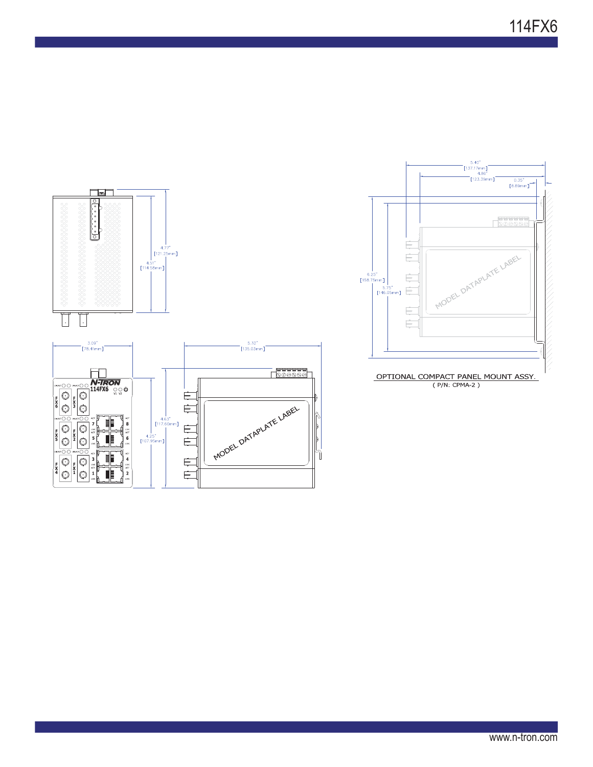